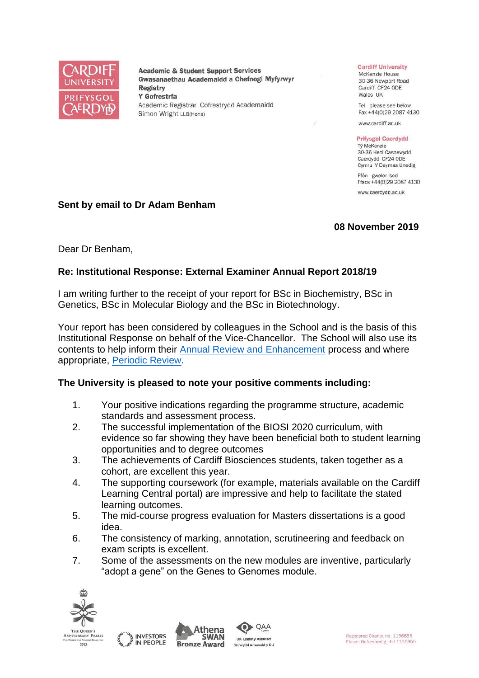

**Academic & Student Support Services** Gwasanaethau Academaidd a Chefnogi Myfyrwyr **Registry** Y Gofrestrfa Academic Registrar Cofrestrydd Academaidd Simon Wright LLB(Hons)

#### **Cardiff University**

McKenzie House 30-36 Newport Road Cardiff CF24 ODE Wales UK

Tel please see below Fax +44(0)29 2087 4130

www.cardiff.ac.uk

#### **Prifysgol Caerdydd**

Tỷ McKenzie 30-36 Heol Casnewydd Caerdydd CF24 ODE Cymru Y Deyrnas Unedig

Ffôn gweler isod Ffacs +44(0)29 2087 4130

www.caerdydd.ac.uk

#### **Sent by email to Dr Adam Benham**

#### **08 November 2019**

Dear Dr Benham,

### **Re: Institutional Response: External Examiner Annual Report 2018/19**

I am writing further to the receipt of your report for BSc in Biochemistry, BSc in Genetics, BSc in Molecular Biology and the BSc in Biotechnology.

Your report has been considered by colleagues in the School and is the basis of this Institutional Response on behalf of the Vice-Chancellor. The School will also use its contents to help inform their [Annual Review and Enhancement](https://www.cardiff.ac.uk/public-information/quality-and-standards/monitoring-and-review/annual-review-and-enhancement) process and where appropriate, [Periodic Review.](http://www.cardiff.ac.uk/public-information/quality-and-standards/monitoring-and-review/periodic-review)

### **The University is pleased to note your positive comments including:**

- 1. Your positive indications regarding the programme structure, academic standards and assessment process.
- 2. The successful implementation of the BIOSI 2020 curriculum, with evidence so far showing they have been beneficial both to student learning opportunities and to degree outcomes
- 3. The achievements of Cardiff Biosciences students, taken together as a cohort, are excellent this year.
- 4. The supporting coursework (for example, materials available on the Cardiff Learning Central portal) are impressive and help to facilitate the stated learning outcomes.
- 5. The mid-course progress evaluation for Masters dissertations is a good idea.
- 6. The consistency of marking, annotation, scrutineering and feedback on exam scripts is excellent.
- 7. Some of the assessments on the new modules are inventive, particularly "adopt a gene" on the Genes to Genomes module.



2013





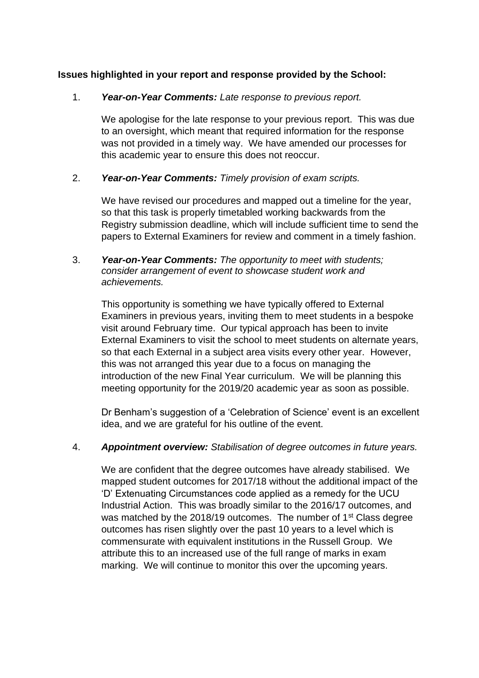# **Issues highlighted in your report and response provided by the School:**

### 1. *Year-on-Year Comments: Late response to previous report.*

We apologise for the late response to your previous report. This was due to an oversight, which meant that required information for the response was not provided in a timely way. We have amended our processes for this academic year to ensure this does not reoccur.

### 2. *Year-on-Year Comments: Timely provision of exam scripts.*

We have revised our procedures and mapped out a timeline for the year, so that this task is properly timetabled working backwards from the Registry submission deadline, which will include sufficient time to send the papers to External Examiners for review and comment in a timely fashion.

### 3. *Year-on-Year Comments: The opportunity to meet with students; consider arrangement of event to showcase student work and achievements.*

This opportunity is something we have typically offered to External Examiners in previous years, inviting them to meet students in a bespoke visit around February time. Our typical approach has been to invite External Examiners to visit the school to meet students on alternate years, so that each External in a subject area visits every other year. However, this was not arranged this year due to a focus on managing the introduction of the new Final Year curriculum. We will be planning this meeting opportunity for the 2019/20 academic year as soon as possible.

Dr Benham's suggestion of a 'Celebration of Science' event is an excellent idea, and we are grateful for his outline of the event.

### 4. *Appointment overview: Stabilisation of degree outcomes in future years.*

We are confident that the degree outcomes have already stabilised. We mapped student outcomes for 2017/18 without the additional impact of the 'D' Extenuating Circumstances code applied as a remedy for the UCU Industrial Action. This was broadly similar to the 2016/17 outcomes, and was matched by the 2018/19 outcomes. The number of 1<sup>st</sup> Class degree outcomes has risen slightly over the past 10 years to a level which is commensurate with equivalent institutions in the Russell Group. We attribute this to an increased use of the full range of marks in exam marking. We will continue to monitor this over the upcoming years.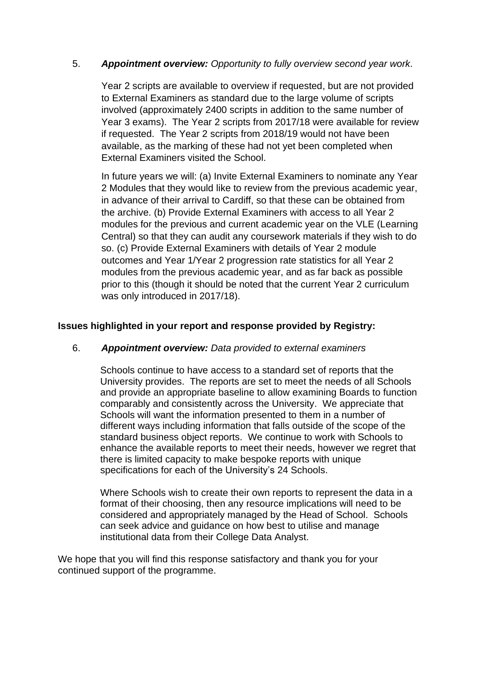# 5. *Appointment overview: Opportunity to fully overview second year work.*

Year 2 scripts are available to overview if requested, but are not provided to External Examiners as standard due to the large volume of scripts involved (approximately 2400 scripts in addition to the same number of Year 3 exams). The Year 2 scripts from 2017/18 were available for review if requested. The Year 2 scripts from 2018/19 would not have been available, as the marking of these had not yet been completed when External Examiners visited the School.

In future years we will: (a) Invite External Examiners to nominate any Year 2 Modules that they would like to review from the previous academic year, in advance of their arrival to Cardiff, so that these can be obtained from the archive. (b) Provide External Examiners with access to all Year 2 modules for the previous and current academic year on the VLE (Learning Central) so that they can audit any coursework materials if they wish to do so. (c) Provide External Examiners with details of Year 2 module outcomes and Year 1/Year 2 progression rate statistics for all Year 2 modules from the previous academic year, and as far back as possible prior to this (though it should be noted that the current Year 2 curriculum was only introduced in 2017/18).

# **Issues highlighted in your report and response provided by Registry:**

### 6. *Appointment overview: Data provided to external examiners*

Schools continue to have access to a standard set of reports that the University provides. The reports are set to meet the needs of all Schools and provide an appropriate baseline to allow examining Boards to function comparably and consistently across the University. We appreciate that Schools will want the information presented to them in a number of different ways including information that falls outside of the scope of the standard business object reports. We continue to work with Schools to enhance the available reports to meet their needs, however we regret that there is limited capacity to make bespoke reports with unique specifications for each of the University's 24 Schools.

Where Schools wish to create their own reports to represent the data in a format of their choosing, then any resource implications will need to be considered and appropriately managed by the Head of School. Schools can seek advice and guidance on how best to utilise and manage institutional data from their College Data Analyst.

We hope that you will find this response satisfactory and thank you for your continued support of the programme.